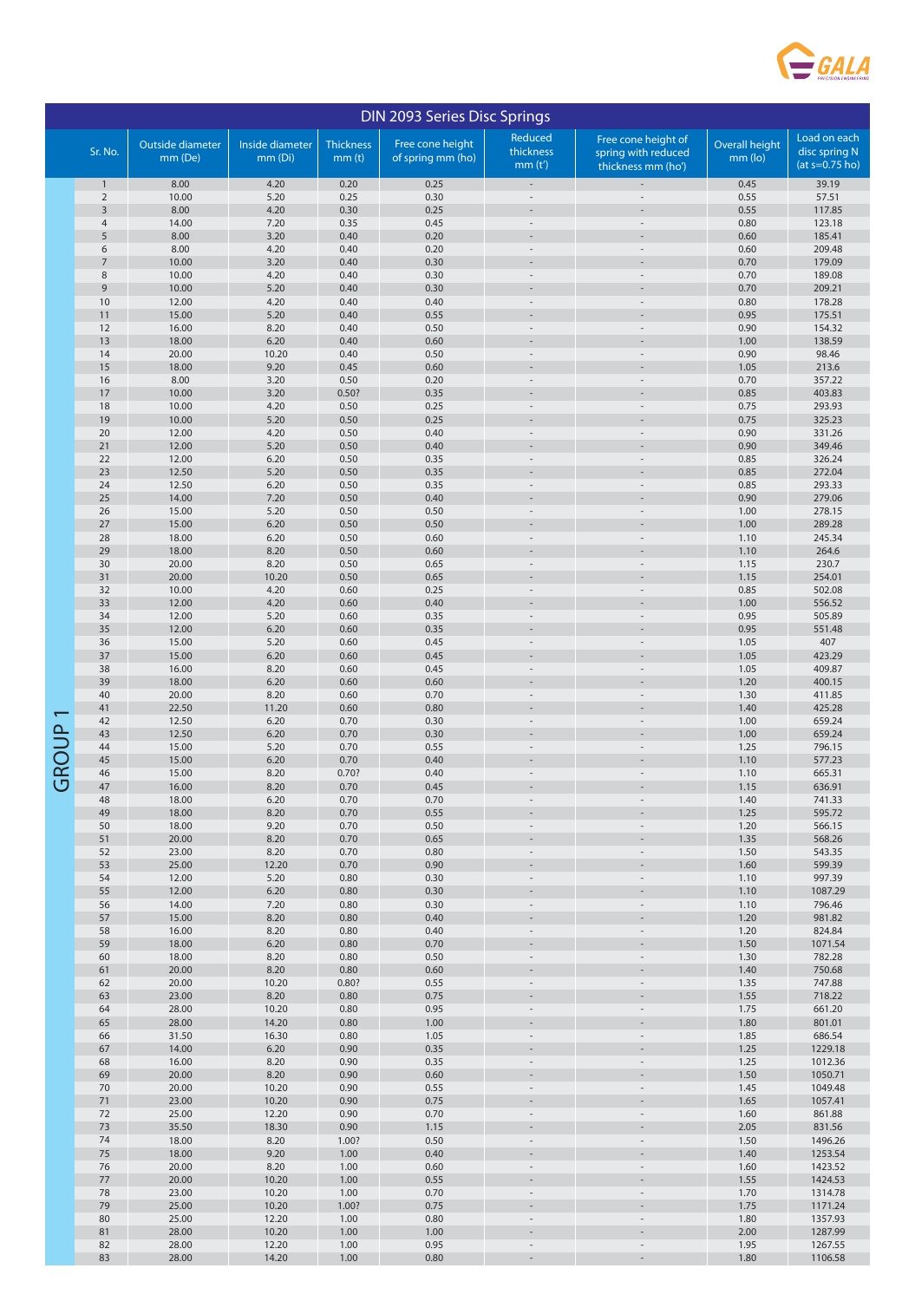

| <b>DIN 2093 Series Disc Springs</b> |                 |                             |                            |                                       |                                       |                                |                                                                  |                           |                                                   |  |
|-------------------------------------|-----------------|-----------------------------|----------------------------|---------------------------------------|---------------------------------------|--------------------------------|------------------------------------------------------------------|---------------------------|---------------------------------------------------|--|
|                                     | Sr. No.         | Outside diameter<br>mm (De) | Inside diameter<br>mm (Di) | <b>Thickness</b><br>mm <sub>(t)</sub> | Free cone height<br>of spring mm (ho) | Reduced<br>thickness<br>mm(t') | Free cone height of<br>spring with reduced<br>thickness mm (ho') | Overall height<br>mm (lo) | Load on each<br>disc spring N<br>$(at s=0.75 ho)$ |  |
|                                     | $\mathbf{1}$    | 8.00                        | 4.20                       | 0.20                                  | 0.25                                  |                                |                                                                  | 0.45                      | 39.19                                             |  |
|                                     | $\sqrt{2}$      | 10.00                       | 5.20                       | 0.25                                  | 0.30                                  |                                |                                                                  | 0.55                      | 57.51                                             |  |
|                                     | $\mathsf 3$     | 8.00                        | 4.20                       | 0.30                                  | 0.25                                  |                                |                                                                  | 0.55                      | 117.85                                            |  |
|                                     | $\sqrt{4}$<br>5 | 14.00<br>8.00               | 7.20<br>3.20               | 0.35<br>0.40                          | 0.45<br>0.20                          | $\overline{a}$                 |                                                                  | 0.80<br>0.60              | 123.18<br>185.41                                  |  |
|                                     | 6               | 8.00                        | 4.20                       | 0.40                                  | 0.20                                  |                                |                                                                  | 0.60                      | 209.48                                            |  |
|                                     | 7               | 10.00                       | 3.20                       | 0.40                                  | 0.30                                  |                                |                                                                  | 0.70                      | 179.09                                            |  |
|                                     | $\,$ 8 $\,$     | 10.00                       | 4.20                       | 0.40                                  | 0.30                                  |                                |                                                                  | 0.70                      | 189.08                                            |  |
|                                     | $\mathsf 9$     | 10.00                       | 5.20                       | 0.40                                  | 0.30                                  |                                |                                                                  | 0.70                      | 209.21                                            |  |
|                                     | 10<br>11        | 12.00<br>15.00              | 4.20<br>5.20               | 0.40<br>0.40                          | 0.40<br>0.55                          |                                |                                                                  | 0.80<br>0.95              | 178.28<br>175.51                                  |  |
|                                     | 12              | 16.00                       | 8.20                       | 0.40                                  | 0.50                                  |                                |                                                                  | 0.90                      | 154.32                                            |  |
|                                     | 13              | 18.00                       | 6.20                       | 0.40                                  | 0.60                                  |                                |                                                                  | 1.00                      | 138.59                                            |  |
|                                     | 14              | 20.00                       | 10.20                      | 0.40                                  | 0.50                                  |                                |                                                                  | 0.90                      | 98.46                                             |  |
|                                     | 15<br>16        | 18.00<br>8.00               | 9.20<br>3.20               | 0.45<br>0.50                          | 0.60<br>0.20                          |                                |                                                                  | 1.05<br>0.70              | 213.6<br>357.22                                   |  |
|                                     | 17              | 10.00                       | 3.20                       | 0.50?                                 | 0.35                                  |                                |                                                                  | 0.85                      | 403.83                                            |  |
|                                     | 18              | 10.00                       | 4.20                       | 0.50                                  | 0.25                                  | $\overline{a}$                 |                                                                  | 0.75                      | 293.93                                            |  |
|                                     | 19              | 10.00                       | 5.20                       | 0.50                                  | 0.25                                  |                                |                                                                  | 0.75                      | 325.23                                            |  |
|                                     | 20<br>21        | 12.00<br>12.00              | 4.20<br>5.20               | 0.50<br>0.50                          | 0.40<br>0.40                          |                                |                                                                  | 0.90<br>0.90              | 331.26<br>349.46                                  |  |
|                                     | 22              | 12.00                       | 6.20                       | 0.50                                  | 0.35                                  | $\overline{a}$                 |                                                                  | 0.85                      | 326.24                                            |  |
|                                     | 23              | 12.50                       | 5.20                       | 0.50                                  | 0.35                                  |                                |                                                                  | 0.85                      | 272.04                                            |  |
|                                     | 24              | 12.50                       | 6.20                       | 0.50                                  | 0.35                                  | $\overline{a}$                 |                                                                  | 0.85                      | 293.33                                            |  |
|                                     | 25<br>26        | 14.00<br>15.00              | 7.20<br>5.20               | 0.50<br>0.50                          | 0.40<br>0.50                          |                                |                                                                  | 0.90<br>1.00              | 279.06<br>278.15                                  |  |
|                                     | 27              | 15.00                       | 6.20                       | 0.50                                  | 0.50                                  |                                |                                                                  | 1.00                      | 289.28                                            |  |
|                                     | 28              | 18.00                       | 6.20                       | 0.50                                  | 0.60                                  | $\qquad \qquad -$              |                                                                  | 1.10                      | 245.34                                            |  |
|                                     | 29              | 18.00                       | 8.20                       | 0.50                                  | 0.60                                  |                                |                                                                  | 1.10                      | 264.6                                             |  |
|                                     | 30<br>31        | 20.00<br>20.00              | 8.20<br>10.20              | 0.50<br>0.50                          | 0.65<br>0.65                          |                                |                                                                  | 1.15<br>1.15              | 230.7<br>254.01                                   |  |
|                                     | 32              | 10.00                       | 4.20                       | 0.60                                  | 0.25                                  | $\overline{\phantom{a}}$       |                                                                  | 0.85                      | 502.08                                            |  |
|                                     | 33              | 12.00                       | 4.20                       | 0.60                                  | 0.40                                  |                                |                                                                  | 1.00                      | 556.52                                            |  |
|                                     | 34              | 12.00                       | 5.20                       | 0.60                                  | 0.35                                  |                                |                                                                  | 0.95                      | 505.89                                            |  |
|                                     | 35<br>36        | 12.00<br>15.00              | 6.20<br>5.20               | 0.60<br>0.60                          | 0.35<br>0.45                          |                                |                                                                  | 0.95<br>1.05              | 551.48<br>407                                     |  |
|                                     | 37              | 15.00                       | 6.20                       | 0.60                                  | 0.45                                  |                                |                                                                  | 1.05                      | 423.29                                            |  |
|                                     | 38              | 16.00                       | 8.20                       | 0.60                                  | 0.45                                  | $\overline{a}$                 |                                                                  | 1.05                      | 409.87                                            |  |
|                                     | 39              | 18.00                       | 6.20                       | 0.60                                  | 0.60                                  | $\overline{a}$                 |                                                                  | 1.20                      | 400.15                                            |  |
|                                     | 40<br>41        | 20.00<br>22.50              | 8.20<br>11.20              | 0.60<br>0.60                          | 0.70<br>0.80                          |                                |                                                                  | 1.30<br>1.40              | 411.85<br>425.28                                  |  |
|                                     | 42              | 12.50                       | 6.20                       | 0.70                                  | 0.30                                  |                                |                                                                  | 1.00                      | 659.24                                            |  |
| GROUP                               | 43              | 12.50                       | 6.20                       | 0.70                                  | 0.30                                  |                                |                                                                  | 1.00                      | 659.24                                            |  |
|                                     | 44<br>45        | 15.00<br>15.00              | 5.20<br>6.20               | 0.70                                  | 0.55<br>0.40                          |                                |                                                                  | 1.25<br>1.10              | 796.15<br>577.23                                  |  |
|                                     | 46              | 15.00                       | 8.20                       | 0.70<br>0.70?                         | 0.40                                  | $\overline{a}$                 |                                                                  | 1.10                      | 665.31                                            |  |
|                                     | 47              | 16.00                       | 8.20                       | 0.70                                  | 0.45                                  |                                |                                                                  | 1.15                      | 636.91                                            |  |
|                                     | 48              | 18.00                       | 6.20                       | 0.70                                  | 0.70                                  |                                |                                                                  | 1.40                      | 741.33                                            |  |
|                                     | 49<br>50        | 18.00<br>18.00              | 8.20<br>9.20               | 0.70                                  | 0.55<br>0.50                          |                                |                                                                  | 1.25<br>1.20              | 595.72<br>566.15                                  |  |
|                                     | 51              | 20.00                       | 8.20                       | 0.70<br>0.70                          | 0.65                                  |                                |                                                                  | 1.35                      | 568.26                                            |  |
|                                     | 52              | 23.00                       | 8.20                       | 0.70                                  | 0.80                                  |                                |                                                                  | 1.50                      | 543.35                                            |  |
|                                     | 53              | 25.00                       | 12.20                      | 0.70                                  | 0.90                                  |                                |                                                                  | 1.60                      | 599.39                                            |  |
|                                     | 54<br>55        | 12.00<br>12.00              | 5.20<br>6.20               | 0.80<br>0.80                          | 0.30<br>0.30                          | $\overline{\phantom{0}}$       |                                                                  | 1.10<br>1.10              | 997.39<br>1087.29                                 |  |
|                                     | 56              | 14.00                       | 7.20                       | 0.80                                  | 0.30                                  |                                |                                                                  | 1.10                      | 796.46                                            |  |
|                                     | 57              | 15.00                       | 8.20                       | 0.80                                  | 0.40                                  |                                |                                                                  | 1.20                      | 981.82                                            |  |
|                                     | 58              | 16.00                       | 8.20                       | 0.80                                  | 0.40                                  |                                |                                                                  | 1.20                      | 824.84                                            |  |
|                                     | 59<br>60        | 18.00<br>18.00              | 6.20<br>8.20               | $0.80\,$<br>0.80                      | 0.70<br>0.50                          | $\overline{\phantom{0}}$       |                                                                  | 1.50<br>1.30              | 1071.54<br>782.28                                 |  |
|                                     | 61              | 20.00                       | 8.20                       | 0.80                                  | 0.60                                  |                                |                                                                  | 1.40                      | 750.68                                            |  |
|                                     | 62              | 20.00                       | 10.20                      | 0.80?                                 | 0.55                                  |                                |                                                                  | 1.35                      | 747.88                                            |  |
|                                     | 63              | 23.00                       | 8.20                       | 0.80                                  | 0.75                                  |                                |                                                                  | 1.55                      | 718.22                                            |  |
|                                     | 64<br>65        | 28.00<br>28.00              | 10.20<br>14.20             | 0.80<br>0.80                          | 0.95<br>1.00                          |                                |                                                                  | 1.75<br>1.80              | 661.20<br>801.01                                  |  |
|                                     | 66              | 31.50                       | 16.30                      | 0.80                                  | 1.05                                  |                                |                                                                  | 1.85                      | 686.54                                            |  |
|                                     | 67              | 14.00                       | 6.20                       | 0.90                                  | 0.35                                  |                                |                                                                  | 1.25                      | 1229.18                                           |  |
|                                     | 68              | 16.00                       | 8.20                       | 0.90                                  | 0.35                                  | $\overline{\phantom{0}}$       |                                                                  | 1.25                      | 1012.36                                           |  |
|                                     | 69<br>$70\,$    | 20.00<br>20.00              | 8.20<br>10.20              | 0.90<br>0.90                          | 0.60<br>0.55                          |                                |                                                                  | 1.50<br>1.45              | 1050.71<br>1049.48                                |  |
|                                     | 71              | 23.00                       | 10.20                      | 0.90                                  | 0.75                                  |                                |                                                                  | 1.65                      | 1057.41                                           |  |
|                                     | 72              | 25.00                       | 12.20                      | 0.90                                  | 0.70                                  |                                |                                                                  | 1.60                      | 861.88                                            |  |
|                                     | $73\,$          | 35.50                       | 18.30                      | 0.90                                  | 1.15                                  |                                |                                                                  | 2.05                      | 831.56                                            |  |
|                                     | 74<br>75        | 18.00<br>18.00              | 8.20<br>9.20               | 1.00?<br>1.00                         | 0.50<br>0.40                          |                                |                                                                  | 1.50<br>1.40              | 1496.26<br>1253.54                                |  |
|                                     | 76              | 20.00                       | 8.20                       | 1.00                                  | 0.60                                  |                                |                                                                  | 1.60                      | 1423.52                                           |  |
|                                     | $77 \,$         | 20.00                       | 10.20                      | 1.00                                  | 0.55                                  |                                |                                                                  | 1.55                      | 1424.53                                           |  |
|                                     | 78              | 23.00                       | 10.20                      | 1.00                                  | 0.70                                  |                                |                                                                  | 1.70                      | 1314.78                                           |  |
|                                     | 79<br>80        | 25.00<br>25.00              | 10.20<br>12.20             | 1.00?<br>1.00                         | 0.75<br>0.80                          |                                |                                                                  | 1.75<br>1.80              | 1171.24<br>1357.93                                |  |
|                                     | 81              | 28.00                       | 10.20                      | 1.00                                  | 1.00                                  |                                |                                                                  | 2.00                      | 1287.99                                           |  |
|                                     | 82              | 28.00                       | 12.20                      | 1.00                                  | 0.95                                  |                                |                                                                  | 1.95                      | 1267.55                                           |  |
|                                     | 83              | 28.00                       | 14.20                      | 1.00                                  | 0.80                                  | $\overline{\phantom{a}}$       |                                                                  | 1.80                      | 1106.58                                           |  |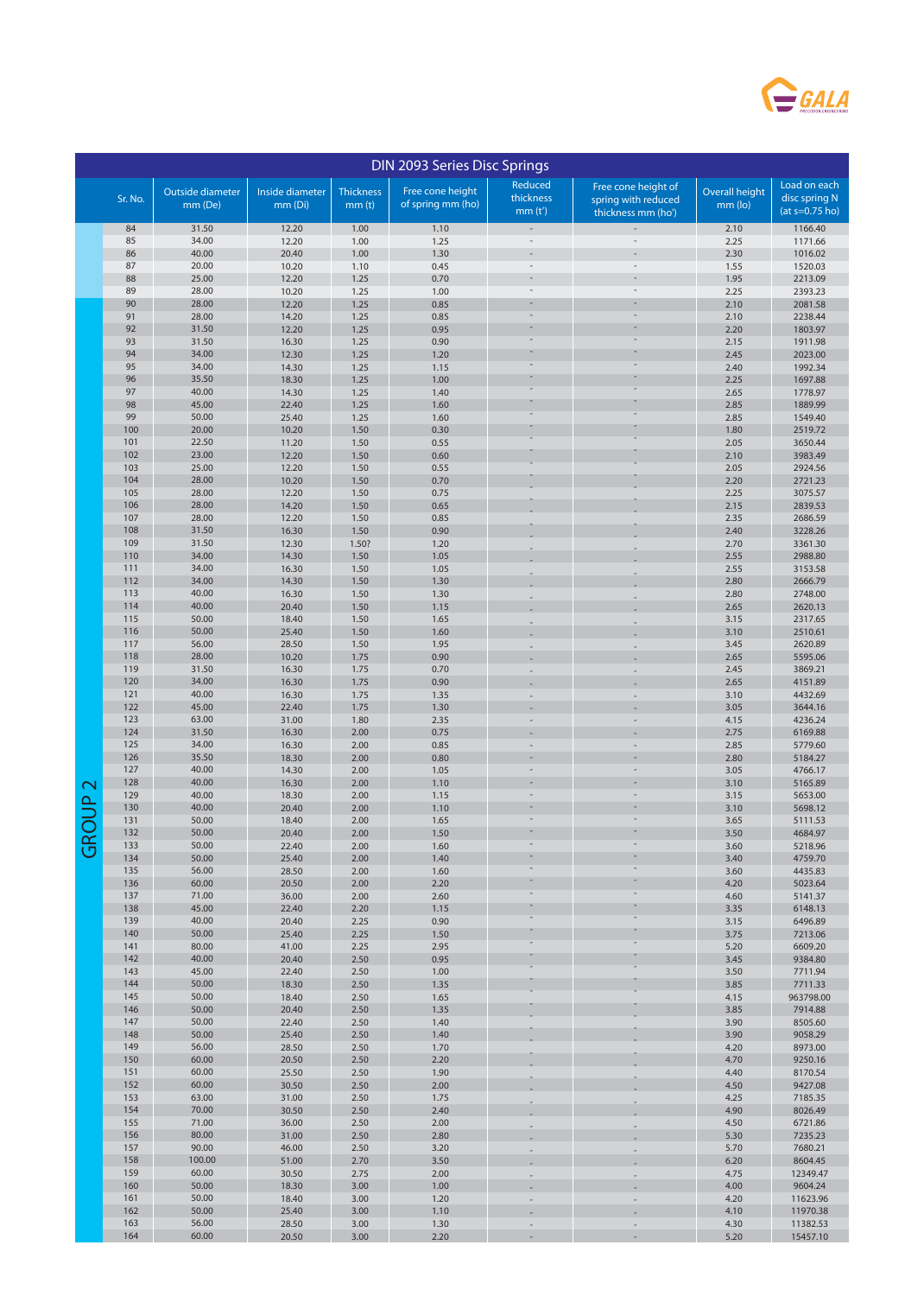

| DIN 2093 Series Disc Springs |            |                             |                            |                                       |                                       |                                |                                                                  |                             |                                                   |
|------------------------------|------------|-----------------------------|----------------------------|---------------------------------------|---------------------------------------|--------------------------------|------------------------------------------------------------------|-----------------------------|---------------------------------------------------|
|                              | Sr. No.    | Outside diameter<br>mm (De) | Inside diameter<br>mm (Di) | <b>Thickness</b><br>mm <sub>(t)</sub> | Free cone height<br>of spring mm (ho) | Reduced<br>thickness<br>mm(t') | Free cone height of<br>spring with reduced<br>thickness mm (ho') | Overall height<br>$mm$ (lo) | Load on each<br>disc spring N<br>$(at = 0.75 ho)$ |
|                              | 84         | 31.50                       | 12.20                      | 1.00                                  | 1.10                                  |                                |                                                                  | 2.10                        | 1166.40                                           |
|                              | 85         | 34.00                       | 12.20                      | 1.00                                  | 1.25                                  |                                |                                                                  | 2.25                        | 1171.66                                           |
|                              | 86<br>87   | 40.00<br>20.00              | 20.40                      | 1.00                                  | 1.30                                  |                                |                                                                  | 2.30                        | 1016.02                                           |
|                              | 88         | 25.00                       | 10.20<br>12.20             | 1.10<br>1.25                          | 0.45<br>0.70                          |                                |                                                                  | 1.55<br>1.95                | 1520.03<br>2213.09                                |
|                              | 89         | 28.00                       | 10.20                      | 1.25                                  | 1.00                                  |                                |                                                                  | 2.25                        | 2393.23                                           |
|                              | 90         | 28.00                       | 12.20                      | 1.25                                  | 0.85                                  |                                |                                                                  | 2.10                        | 2081.58                                           |
|                              | 91         | 28.00                       | 14.20                      | 1.25                                  | 0.85                                  |                                |                                                                  | 2.10                        | 2238.44                                           |
|                              | 92<br>93   | 31.50<br>31.50              | 12.20<br>16.30             | 1.25<br>1.25                          | 0.95<br>0.90                          |                                |                                                                  | 2.20<br>2.15                | 1803.97<br>1911.98                                |
|                              | 94         | 34.00                       | 12.30                      | 1.25                                  | 1.20                                  |                                |                                                                  | 2.45                        | 2023.00                                           |
|                              | 95         | 34.00                       | 14.30                      | 1.25                                  | 1.15                                  |                                |                                                                  | 2.40                        | 1992.34                                           |
|                              | 96         | 35.50                       | 18.30                      | 1.25                                  | 1.00                                  |                                |                                                                  | 2.25                        | 1697.88                                           |
|                              | 97<br>98   | 40.00<br>45.00              | 14.30<br>22.40             | 1.25<br>1.25                          | 1.40<br>1.60                          |                                |                                                                  | 2.65<br>2.85                | 1778.97<br>1889.99                                |
|                              | 99         | 50.00                       | 25.40                      | 1.25                                  | 1.60                                  |                                |                                                                  | 2.85                        | 1549.40                                           |
|                              | 100        | 20.00                       | 10.20                      | 1.50                                  | 0.30                                  |                                |                                                                  | 1.80                        | 2519.72                                           |
|                              | 101<br>102 | 22.50<br>23.00              | 11.20                      | 1.50                                  | 0.55                                  |                                |                                                                  | 2.05                        | 3650.44                                           |
|                              | 103        | 25.00                       | 12.20<br>12.20             | 1.50<br>1.50                          | 0.60<br>0.55                          |                                |                                                                  | 2.10<br>2.05                | 3983.49<br>2924.56                                |
|                              | 104        | 28.00                       | 10.20                      | 1.50                                  | 0.70                                  |                                |                                                                  | 2.20                        | 2721.23                                           |
|                              | 105        | 28.00                       | 12.20                      | 1.50                                  | 0.75                                  |                                |                                                                  | 2.25                        | 3075.57                                           |
|                              | 106        | 28.00                       | 14.20                      | 1.50                                  | 0.65                                  |                                |                                                                  | 2.15                        | 2839.53                                           |
|                              | 107<br>108 | 28.00<br>31.50              | 12.20<br>16.30             | 1.50<br>1.50                          | 0.85<br>0.90                          |                                |                                                                  | 2.35<br>2.40                | 2686.59<br>3228.26                                |
|                              | 109        | 31.50                       | 12.30                      | 1.50?                                 | 1.20                                  |                                |                                                                  | 2.70                        | 3361.30                                           |
|                              | 110        | 34.00                       | 14.30                      | 1.50                                  | 1.05                                  |                                |                                                                  | 2.55                        | 2988.80                                           |
|                              | 111        | 34.00                       | 16.30                      | 1.50                                  | 1.05                                  |                                |                                                                  | 2.55                        | 3153.58<br>2666.79                                |
|                              | 112<br>113 | 34.00<br>40.00              | 14.30<br>16.30             | 1.50<br>1.50                          | 1.30<br>1.30                          |                                |                                                                  | 2.80<br>2.80                | 2748.00                                           |
|                              | 114        | 40.00                       | 20.40                      | 1.50                                  | 1.15                                  |                                |                                                                  | 2.65                        | 2620.13                                           |
|                              | 115        | 50.00                       | 18.40                      | 1.50                                  | 1.65                                  |                                |                                                                  | 3.15                        | 2317.65                                           |
|                              | 116        | 50.00                       | 25.40                      | 1.50                                  | 1.60                                  |                                |                                                                  | 3.10                        | 2510.61                                           |
|                              | 117<br>118 | 56.00<br>28.00              | 28.50<br>10.20             | 1.50<br>1.75                          | 1.95<br>0.90                          |                                |                                                                  | 3.45<br>2.65                | 2620.89<br>5595.06                                |
|                              | 119        | 31.50                       | 16.30                      | 1.75                                  | 0.70                                  |                                |                                                                  | 2.45                        | 3869.21                                           |
|                              | 120        | 34.00                       | 16.30                      | 1.75                                  | 0.90                                  |                                |                                                                  | 2.65                        | 4151.89                                           |
|                              | 121<br>122 | 40.00<br>45.00              | 16.30                      | 1.75<br>1.75                          | 1.35                                  |                                |                                                                  | 3.10<br>3.05                | 4432.69<br>3644.16                                |
|                              | 123        | 63.00                       | 22.40<br>31.00             | 1.80                                  | 1.30<br>2.35                          |                                |                                                                  | 4.15                        | 4236.24                                           |
|                              | 124        | 31.50                       | 16.30                      | 2.00                                  | 0.75                                  |                                |                                                                  | 2.75                        | 6169.88                                           |
|                              | 125        | 34.00                       | 16.30                      | 2.00                                  | 0.85                                  |                                |                                                                  | 2.85                        | 5779.60                                           |
|                              | 126<br>127 | 35.50<br>40.00              | 18.30<br>14.30             | 2.00<br>2.00                          | 0.80<br>1.05                          |                                |                                                                  | 2.80<br>3.05                | 5184.27<br>4766.17                                |
| $\sim$                       | 128        | 40.00                       | 16.30                      | 2.00                                  | 1.10                                  |                                |                                                                  | 3.10                        | 5165.89                                           |
| <u> പ</u>                    | 129        | 40.00                       | 18.30                      | 2.00                                  | 1.15                                  |                                |                                                                  | 3.15                        | 5653.00                                           |
|                              | 130        | 40.00                       | 20.40                      | 2.00                                  | 1.10                                  |                                |                                                                  | 3.10                        | 5698.12                                           |
|                              | 131<br>132 | 50.00<br>50.00              | 18.40<br>20.40             | 2.00<br>2.00                          | 1.65<br>1.50                          |                                |                                                                  | 3.65<br>3.50                | 5111.53<br>4684.97                                |
| GR                           | 133        | 50.00                       | 22.40                      | 2.00                                  | 1.60                                  |                                |                                                                  | 3.60                        | 5218.96                                           |
|                              | 134        | 50.00                       | 25.40                      | 2.00                                  | 1.40                                  |                                |                                                                  | 3.40                        | 4759.70                                           |
|                              | 135<br>136 | 56.00<br>60.00              | 28.50<br>20.50             | 2.00                                  | 1.60                                  |                                |                                                                  | 3.60<br>4.20                | 4435.83                                           |
|                              | 137        | 71.00                       | 36.00                      | 2.00<br>2.00                          | 2.20<br>2.60                          |                                |                                                                  | 4.60                        | 5023.64<br>5141.37                                |
|                              | 138        | 45.00                       | 22.40                      | 2.20                                  | 1.15                                  |                                |                                                                  | 3.35                        | 6148.13                                           |
|                              | 139        | 40.00                       | 20.40                      | 2.25                                  | 0.90                                  |                                |                                                                  | 3.15                        | 6496.89                                           |
|                              | 140<br>141 | 50.00<br>80.00              | 25.40<br>41.00             | 2.25<br>2.25                          | 1.50<br>2.95                          |                                |                                                                  | 3.75<br>5.20                | 7213.06<br>6609.20                                |
|                              | 142        | 40.00                       | 20.40                      | 2.50                                  | 0.95                                  |                                |                                                                  | 3.45                        | 9384.80                                           |
|                              | 143        | 45.00                       | 22.40                      | 2.50                                  | 1.00                                  |                                |                                                                  | 3.50                        | 7711.94                                           |
|                              | 144        | 50.00                       | 18.30                      | 2.50                                  | 1.35                                  |                                |                                                                  | 3.85                        | 7711.33                                           |
|                              | 145<br>146 | 50.00<br>50.00              | 18.40<br>20.40             | 2.50<br>2.50                          | 1.65<br>1.35                          |                                |                                                                  | 4.15<br>3.85                | 963798.00<br>7914.88                              |
|                              | 147        | 50.00                       | 22.40                      | 2.50                                  | 1.40                                  |                                |                                                                  | 3.90                        | 8505.60                                           |
|                              | 148        | 50.00                       | 25.40                      | 2.50                                  | 1.40                                  |                                |                                                                  | 3.90                        | 9058.29                                           |
|                              | 149        | 56.00                       | 28.50                      | 2.50                                  | 1.70                                  |                                |                                                                  | 4.20                        | 8973.00                                           |
|                              | 150<br>151 | 60.00<br>60.00              | 20.50<br>25.50             | 2.50<br>2.50                          | 2.20<br>1.90                          |                                |                                                                  | 4.70<br>4.40                | 9250.16<br>8170.54                                |
|                              | 152        | 60.00                       | 30.50                      | 2.50                                  | 2.00                                  |                                |                                                                  | 4.50                        | 9427.08                                           |
|                              | 153        | 63.00                       | 31.00                      | 2.50                                  | 1.75                                  |                                |                                                                  | 4.25                        | 7185.35                                           |
|                              | 154<br>155 | 70.00<br>71.00              | 30.50                      | 2.50                                  | 2.40                                  |                                |                                                                  | 4.90                        | 8026.49                                           |
|                              | 156        | 80.00                       | 36.00<br>31.00             | 2.50<br>2.50                          | 2.00<br>2.80                          |                                |                                                                  | 4.50<br>5.30                | 6721.86<br>7235.23                                |
|                              | 157        | 90.00                       | 46.00                      | 2.50                                  | 3.20                                  |                                |                                                                  | 5.70                        | 7680.21                                           |
|                              | 158        | 100.00                      | 51.00                      | 2.70                                  | 3.50                                  |                                |                                                                  | 6.20                        | 8604.45                                           |
|                              | 159<br>160 | 60.00<br>50.00              | 30.50<br>18.30             | 2.75<br>3.00                          | 2.00<br>1.00                          |                                |                                                                  | 4.75<br>4.00                | 12349.47<br>9604.24                               |
|                              | 161        | 50.00                       | 18.40                      | 3.00                                  | 1.20                                  |                                |                                                                  | 4.20                        | 11623.96                                          |
|                              | 162        | 50.00                       | 25.40                      | 3.00                                  | 1.10                                  |                                |                                                                  | 4.10                        | 11970.38                                          |
|                              | 163        | 56.00                       | 28.50                      | 3.00                                  | 1.30                                  |                                |                                                                  | 4.30                        | 11382.53                                          |
|                              | 164        | 60.00                       | 20.50                      | 3.00                                  | 2.20                                  |                                |                                                                  | 5.20                        | 15457.10                                          |